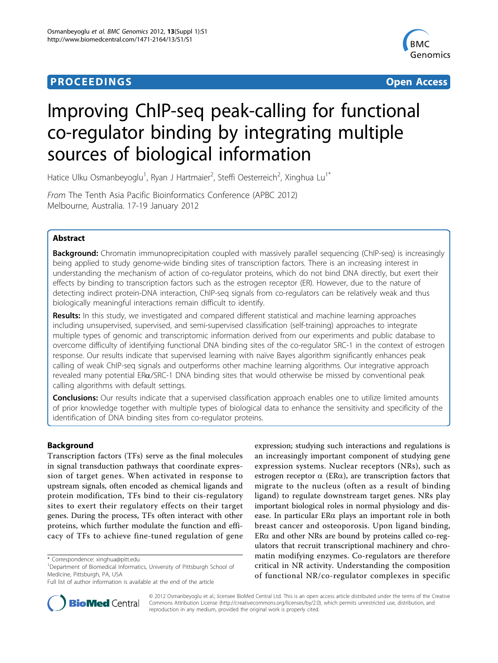# **PROCEEDINGS CONSUMING S** Open Access **CONSUMING S**



# Improving ChIP-seq peak-calling for functional co-regulator binding by integrating multiple sources of biological information

Hatice Ulku Osmanbeyoglu<sup>1</sup>, Ryan J Hartmaier<sup>2</sup>, Steffi Oesterreich<sup>2</sup>, Xinghua Lu<sup>1\*</sup>

From The Tenth Asia Pacific Bioinformatics Conference (APBC 2012) Melbourne, Australia. 17-19 January 2012

## Abstract

Background: Chromatin immunoprecipitation coupled with massively parallel sequencing (ChIP-seq) is increasingly being applied to study genome-wide binding sites of transcription factors. There is an increasing interest in understanding the mechanism of action of co-regulator proteins, which do not bind DNA directly, but exert their effects by binding to transcription factors such as the estrogen receptor (ER). However, due to the nature of detecting indirect protein-DNA interaction, ChIP-seq signals from co-regulators can be relatively weak and thus biologically meaningful interactions remain difficult to identify.

Results: In this study, we investigated and compared different statistical and machine learning approaches including unsupervised, supervised, and semi-supervised classification (self-training) approaches to integrate multiple types of genomic and transcriptomic information derived from our experiments and public database to overcome difficulty of identifying functional DNA binding sites of the co-regulator SRC-1 in the context of estrogen response. Our results indicate that supervised learning with naïve Bayes algorithm significantly enhances peak calling of weak ChIP-seq signals and outperforms other machine learning algorithms. Our integrative approach revealed many potential ERa/SRC-1 DNA binding sites that would otherwise be missed by conventional peak calling algorithms with default settings.

**Conclusions:** Our results indicate that a supervised classification approach enables one to utilize limited amounts of prior knowledge together with multiple types of biological data to enhance the sensitivity and specificity of the identification of DNA binding sites from co-regulator proteins.

### Background

Transcription factors (TFs) serve as the final molecules in signal transduction pathways that coordinate expression of target genes. When activated in response to upstream signals, often encoded as chemical ligands and protein modification, TFs bind to their cis-regulatory sites to exert their regulatory effects on their target genes. During the process, TFs often interact with other proteins, which further modulate the function and efficacy of TFs to achieve fine-tuned regulation of gene

expression; studying such interactions and regulations is an increasingly important component of studying gene expression systems. Nuclear receptors (NRs), such as estrogen receptor  $\alpha$  (ER $\alpha$ ), are transcription factors that migrate to the nucleus (often as a result of binding ligand) to regulate downstream target genes. NRs play important biological roles in normal physiology and disease. In particular ERa plays an important role in both breast cancer and osteoporosis. Upon ligand binding,  $ER\alpha$  and other NRs are bound by proteins called co-regulators that recruit transcriptional machinery and chromatin modifying enzymes. Co-regulators are therefore critical in NR activity. Understanding the composition of functional NR/co-regulator complexes in specific



© 2012 Osmanbeyoglu et al.; licensee BioMed Central Ltd. This is an open access article distributed under the terms of the Creative Commons Attribution License [\(http://creativecommons.org/licenses/by/2.0](http://creativecommons.org/licenses/by/2.0)), which permits unrestricted use, distribution, and reproduction in any medium, provided the original work is properly cited.

<sup>\*</sup> Correspondence: [xinghua@pitt.edu](mailto:xinghua@pitt.edu)

<sup>&</sup>lt;sup>1</sup>Department of Biomedical Informatics, University of Pittsburgh School of Medicine, Pittsburgh, PA, USA

Full list of author information is available at the end of the article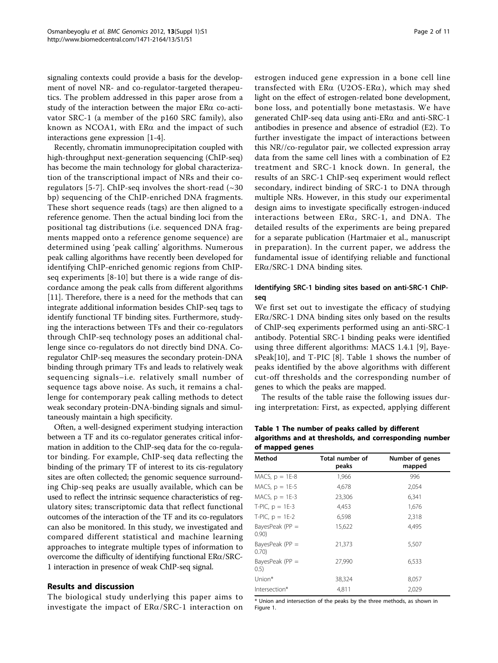signaling contexts could provide a basis for the development of novel NR- and co-regulator-targeted therapeutics. The problem addressed in this paper arose from a study of the interaction between the major  $ER\alpha$  co-activator SRC-1 (a member of the p160 SRC family), also known as NCOA1, with  $ER\alpha$  and the impact of such interactions gene expression [\[1](#page-9-0)-[4](#page-9-0)].

Recently, chromatin immunoprecipitation coupled with high-throughput next-generation sequencing (ChIP-seq) has become the main technology for global characterization of the transcriptional impact of NRs and their co-regulators [[5-7\]](#page-9-0). ChIP-seq involves the short-read  $(\sim 30$ bp) sequencing of the ChIP-enriched DNA fragments. These short sequence reads (tags) are then aligned to a reference genome. Then the actual binding loci from the positional tag distributions (i.e. sequenced DNA fragments mapped onto a reference genome sequence) are determined using 'peak calling' algorithms. Numerous peak calling algorithms have recently been developed for identifying ChIP-enriched genomic regions from ChIPseq experiments [\[8](#page-9-0)-[10](#page-9-0)] but there is a wide range of discordance among the peak calls from different algorithms [[11\]](#page-9-0). Therefore, there is a need for the methods that can integrate additional information besides ChIP-seq tags to identify functional TF binding sites. Furthermore, studying the interactions between TFs and their co-regulators through ChIP-seq technology poses an additional challenge since co-regulators do not directly bind DNA. Coregulator ChIP-seq measures the secondary protein-DNA binding through primary TFs and leads to relatively weak sequencing signals–i.e. relatively small number of sequence tags above noise. As such, it remains a challenge for contemporary peak calling methods to detect weak secondary protein-DNA-binding signals and simultaneously maintain a high specificity.

Often, a well-designed experiment studying interaction between a TF and its co-regulator generates critical information in addition to the ChIP-seq data for the co-regulator binding. For example, ChIP-seq data reflecting the binding of the primary TF of interest to its cis-regulatory sites are often collected; the genomic sequence surrounding Chip-seq peaks are usually available, which can be used to reflect the intrinsic sequence characteristics of regulatory sites; transcriptomic data that reflect functional outcomes of the interaction of the TF and its co-regulators can also be monitored. In this study, we investigated and compared different statistical and machine learning approaches to integrate multiple types of information to overcome the difficulty of identifying functional  $ER\alpha/SRC$ -1 interaction in presence of weak ChIP-seq signal.

### Results and discussion

The biological study underlying this paper aims to investigate the impact of  $ER\alpha/SRC-1$  interaction on estrogen induced gene expression in a bone cell line transfected with  $ER\alpha$  (U2OS-ER $\alpha$ ), which may shed light on the effect of estrogen-related bone development, bone loss, and potentially bone metastasis. We have generated ChIP-seq data using anti-ERa and anti-SRC-1 antibodies in presence and absence of estradiol (E2). To further investigate the impact of interactions between this NR//co-regulator pair, we collected expression array data from the same cell lines with a combination of E2 treatment and SRC-1 knock down. In general, the results of an SRC-1 ChIP-seq experiment would reflect secondary, indirect binding of SRC-1 to DNA through multiple NRs. However, in this study our experimental design aims to investigate specifically estrogen-induced interactions between ERa, SRC-1, and DNA. The detailed results of the experiments are being prepared for a separate publication (Hartmaier et al., manuscript in preparation). In the current paper, we address the fundamental issue of identifying reliable and functional  $ER\alpha/SRC-1$  DNA binding sites.

#### Identifying SRC-1 binding sites based on anti-SRC-1 ChIPseq

We first set out to investigate the efficacy of studying  $ER\alpha/SRC-1$  DNA binding sites only based on the results of ChIP-seq experiments performed using an anti-SRC-1 antibody. Potential SRC-1 binding peaks were identified using three different algorithms: MACS 1.4.1 [[9\]](#page-9-0), BayesPeak[10], and T-PIC [[8\]](#page-9-0). Table 1 shows the number of peaks identified by the above algorithms with different cut-off thresholds and the corresponding number of genes to which the peaks are mapped.

The results of the table raise the following issues during interpretation: First, as expected, applying different

Table 1 The number of peaks called by different algorithms and at thresholds, and corresponding number of mapped genes

| Total number of<br>peaks | Number of genes<br>mapped |
|--------------------------|---------------------------|
| 1,966                    | 996                       |
| 4,678                    | 2,054                     |
| 23,306                   | 6,341                     |
| 4,453                    | 1,676                     |
| 6,598                    | 2,318                     |
| 15,622                   | 4.495                     |
| 21,373                   | 5,507                     |
| 27,990                   | 6,533                     |
| 38,324                   | 8,057                     |
| 4.811                    | 2,029                     |
|                          |                           |

\* Union and intersection of the peaks by the three methods, as shown in Figure [1.](#page-2-0)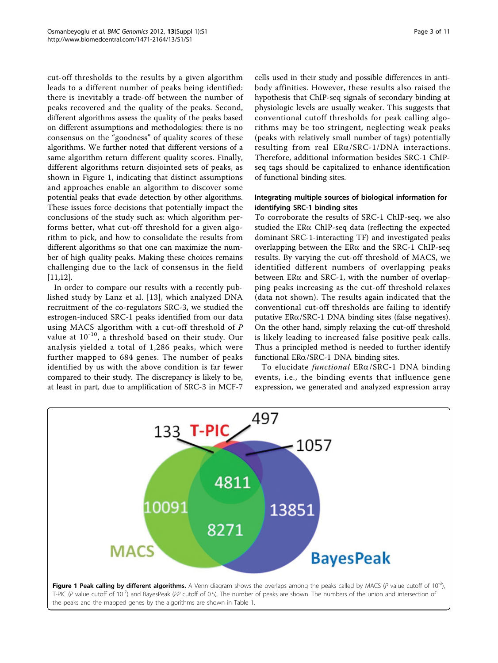<span id="page-2-0"></span>cut-off thresholds to the results by a given algorithm leads to a different number of peaks being identified: there is inevitably a trade-off between the number of peaks recovered and the quality of the peaks. Second, different algorithms assess the quality of the peaks based on different assumptions and methodologies: there is no consensus on the "goodness" of quality scores of these algorithms. We further noted that different versions of a same algorithm return different quality scores. Finally, different algorithms return disjointed sets of peaks, as shown in Figure 1, indicating that distinct assumptions and approaches enable an algorithm to discover some potential peaks that evade detection by other algorithms. These issues force decisions that potentially impact the conclusions of the study such as: which algorithm performs better, what cut-off threshold for a given algorithm to pick, and how to consolidate the results from different algorithms so that one can maximize the number of high quality peaks. Making these choices remains challenging due to the lack of consensus in the field [[11,12\]](#page-9-0).

In order to compare our results with a recently published study by Lanz et al. [[13](#page-9-0)], which analyzed DNA recruitment of the co-regulators SRC-3, we studied the estrogen-induced SRC-1 peaks identified from our data using MACS algorithm with a cut-off threshold of P value at  $10^{-10}$ , a threshold based on their study. Our analysis yielded a total of 1,286 peaks, which were further mapped to 684 genes. The number of peaks identified by us with the above condition is far fewer compared to their study. The discrepancy is likely to be, at least in part, due to amplification of SRC-3 in MCF-7

cells used in their study and possible differences in antibody affinities. However, these results also raised the hypothesis that ChIP-seq signals of secondary binding at physiologic levels are usually weaker. This suggests that conventional cutoff thresholds for peak calling algorithms may be too stringent, neglecting weak peaks (peaks with relatively small number of tags) potentially resulting from real  $ER\alpha/SRC$ -1/DNA interactions. Therefore, additional information besides SRC-1 ChIPseq tags should be capitalized to enhance identification of functional binding sites.

## Integrating multiple sources of biological information for identifying SRC-1 binding sites

To corroborate the results of SRC-1 ChIP-seq, we also studied the ERa ChIP-seq data (reflecting the expected dominant SRC-1-interacting TF) and investigated peaks overlapping between the  $ER\alpha$  and the SRC-1 ChIP-seq results. By varying the cut-off threshold of MACS, we identified different numbers of overlapping peaks between ER $\alpha$  and SRC-1, with the number of overlapping peaks increasing as the cut-off threshold relaxes (data not shown). The results again indicated that the conventional cut-off thresholds are failing to identify putative  $ER\alpha/SRC-1$  DNA binding sites (false negatives). On the other hand, simply relaxing the cut-off threshold is likely leading to increased false positive peak calls. Thus a principled method is needed to further identify functional  $ER\alpha/SRC-1$  DNA binding sites.

To elucidate functional ERa/SRC-1 DNA binding events, i.e., the binding events that influence gene expression, we generated and analyzed expression array

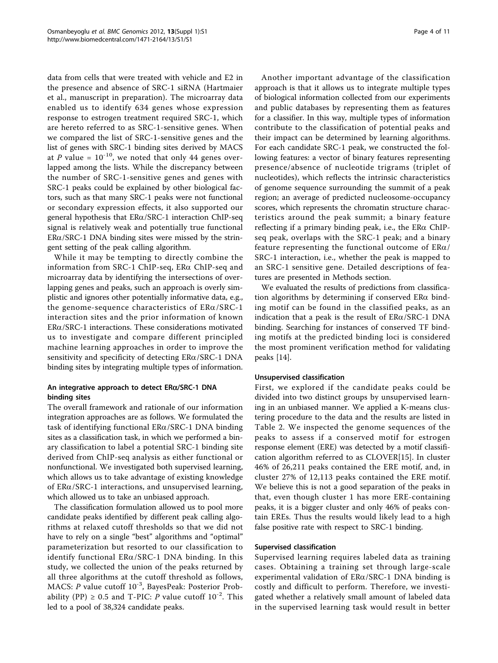data from cells that were treated with vehicle and E2 in the presence and absence of SRC-1 siRNA (Hartmaier et al., manuscript in preparation). The microarray data enabled us to identify 634 genes whose expression response to estrogen treatment required SRC-1, which are hereto referred to as SRC-1-sensitive genes. When we compared the list of SRC-1-sensitive genes and the list of genes with SRC-1 binding sites derived by MACS at P value =  $10^{-10}$ , we noted that only 44 genes overlapped among the lists. While the discrepancy between the number of SRC-1-sensitive genes and genes with SRC-1 peaks could be explained by other biological factors, such as that many SRC-1 peaks were not functional or secondary expression effects, it also supported our general hypothesis that  $ER\alpha/SRC-1$  interaction ChIP-seq signal is relatively weak and potentially true functional  $ER\alpha/SRC-1$  DNA binding sites were missed by the stringent setting of the peak calling algorithm.

While it may be tempting to directly combine the information from SRC-1 ChIP-seq, ERa ChIP-seq and microarray data by identifying the intersections of overlapping genes and peaks, such an approach is overly simplistic and ignores other potentially informative data, e.g., the genome-sequence characteristics of  $ER\alpha/SRC-1$ interaction sites and the prior information of known  $ER\alpha/SRC-1$  interactions. These considerations motivated us to investigate and compare different principled machine learning approaches in order to improve the sensitivity and specificity of detecting  $ER\alpha/SRC-1$  DNA binding sites by integrating multiple types of information.

## An integrative approach to detect  $ER\alpha/SRC$ -1 DNA binding sites

The overall framework and rationale of our information integration approaches are as follows. We formulated the task of identifying functional ERa/SRC-1 DNA binding sites as a classification task, in which we performed a binary classification to label a potential SRC-1 binding site derived from ChIP-seq analysis as either functional or nonfunctional. We investigated both supervised learning, which allows us to take advantage of existing knowledge of  $ER\alpha/SRC-1$  interactions, and unsupervised learning, which allowed us to take an unbiased approach.

The classification formulation allowed us to pool more candidate peaks identified by different peak calling algorithms at relaxed cutoff thresholds so that we did not have to rely on a single "best" algorithms and "optimal" parameterization but resorted to our classification to identify functional  $ER\alpha/SRC-1$  DNA binding. In this study, we collected the union of the peaks returned by all three algorithms at the cutoff threshold as follows, MACS: P value cutoff  $10^{-3}$ , BayesPeak: Posterior Probability (PP)  $\geq$  0.5 and T-PIC: P value cutoff 10<sup>-2</sup>. This led to a pool of 38,324 candidate peaks.

Another important advantage of the classification approach is that it allows us to integrate multiple types of biological information collected from our experiments and public databases by representing them as features for a classifier. In this way, multiple types of information contribute to the classification of potential peaks and their impact can be determined by learning algorithms. For each candidate SRC-1 peak, we constructed the following features: a vector of binary features representing presence/absence of nucleotide trigrams (triplet of nucleotides), which reflects the intrinsic characteristics of genome sequence surrounding the summit of a peak region; an average of predicted nucleosome-occupancy scores, which represents the chromatin structure characteristics around the peak summit; a binary feature reflecting if a primary binding peak, i.e., the  $ER\alpha$  ChIPseq peak, overlaps with the SRC-1 peak; and a binary feature representing the functional outcome of  $ER\alpha/$ SRC-1 interaction, i.e., whether the peak is mapped to an SRC-1 sensitive gene. Detailed descriptions of features are presented in Methods section.

We evaluated the results of predictions from classification algorithms by determining if conserved  $ER\alpha$  binding motif can be found in the classified peaks, as an indication that a peak is the result of  $ER\alpha/SRC-1$  DNA binding. Searching for instances of conserved TF binding motifs at the predicted binding loci is considered the most prominent verification method for validating peaks [[14](#page-9-0)].

#### Unsupervised classification

First, we explored if the candidate peaks could be divided into two distinct groups by unsupervised learning in an unbiased manner. We applied a K-means clustering procedure to the data and the results are listed in Table [2.](#page-4-0) We inspected the genome sequences of the peaks to assess if a conserved motif for estrogen response element (ERE) was detected by a motif classification algorithm referred to as CLOVER[15]. In cluster 46% of 26,211 peaks contained the ERE motif, and, in cluster 27% of 12,113 peaks contained the ERE motif. We believe this is not a good separation of the peaks in that, even though cluster 1 has more ERE-containing peaks, it is a bigger cluster and only 46% of peaks contain EREs. Thus the results would likely lead to a high false positive rate with respect to SRC-1 binding.

#### Supervised classification

Supervised learning requires labeled data as training cases. Obtaining a training set through large-scale experimental validation of ERa/SRC-1 DNA binding is costly and difficult to perform. Therefore, we investigated whether a relatively small amount of labeled data in the supervised learning task would result in better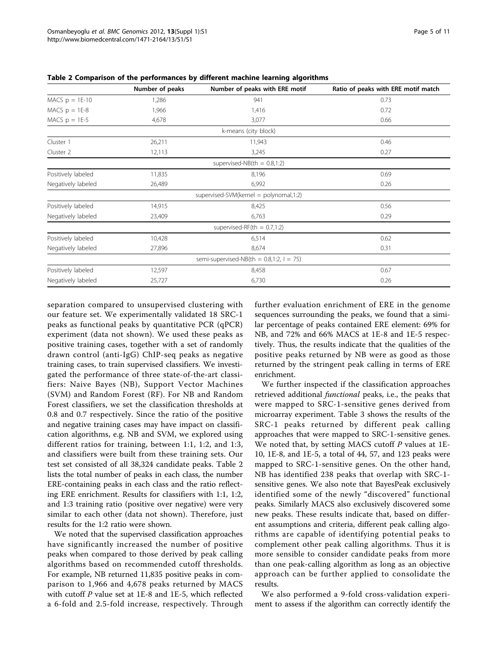|                    | Number of peaks | Number of peaks with ERE motif              | Ratio of peaks with ERE motif match |  |
|--------------------|-----------------|---------------------------------------------|-------------------------------------|--|
| MACS $p = 1E-10$   | 1,286           | 941                                         | 0.73                                |  |
| MACS $p = 1E-8$    | 1,966           | 1,416                                       | 0.72                                |  |
| MACS $p = 1E-5$    | 4,678           | 3,077                                       | 0.66                                |  |
|                    |                 | k-means (city block)                        |                                     |  |
| Cluster 1          | 26,211          | 11,943                                      | 0.46                                |  |
| Cluster 2          | 12,113          | 3,245                                       | 0.27                                |  |
|                    |                 | supervised-NB $(th = 0.8, 1:2)$             |                                     |  |
| Positively labeled | 11,835          | 8,196                                       | 0.69                                |  |
| Negatively labeled | 26,489          | 6,992                                       | 0.26                                |  |
|                    |                 | supervised-SVM(kernel = polynomal,1:2)      |                                     |  |
| Positively labeled | 14,915          | 8,425                                       | 0.56                                |  |
| Negatively labeled | 23,409          | 6,763                                       | 0.29                                |  |
|                    |                 | supervised-RF(th = $0.7,1:2$ )              |                                     |  |
| Positively labeled | 10,428          | 6,514                                       | 0.62                                |  |
| Negatively labeled | 27,896          | 8,674                                       | 0.31                                |  |
|                    |                 | semi-supervised-NB(th = $0.8,1:2, 1 = 75$ ) |                                     |  |
| Positively labeled | 12,597          | 8,458                                       | 0.67                                |  |
| Negatively labeled | 25,727          | 6,730                                       | 0.26                                |  |

<span id="page-4-0"></span>Table 2 Comparison of the performances by different machine learning algorithms

separation compared to unsupervised clustering with our feature set. We experimentally validated 18 SRC-1 peaks as functional peaks by quantitative PCR (qPCR) experiment (data not shown). We used these peaks as positive training cases, together with a set of randomly drawn control (anti-IgG) ChIP-seq peaks as negative training cases, to train supervised classifiers. We investigated the performance of three state-of-the-art classifiers: Naive Bayes (NB), Support Vector Machines (SVM) and Random Forest (RF). For NB and Random Forest classifiers, we set the classification thresholds at 0.8 and 0.7 respectively. Since the ratio of the positive and negative training cases may have impact on classification algorithms, e.g. NB and SVM, we explored using different ratios for training, between 1:1, 1:2, and 1:3, and classifiers were built from these training sets. Our test set consisted of all 38,324 candidate peaks. Table 2 lists the total number of peaks in each class, the number ERE-containing peaks in each class and the ratio reflecting ERE enrichment. Results for classifiers with 1:1, 1:2, and 1:3 training ratio (positive over negative) were very similar to each other (data not shown). Therefore, just results for the 1:2 ratio were shown.

We noted that the supervised classification approaches have significantly increased the number of positive peaks when compared to those derived by peak calling algorithms based on recommended cutoff thresholds. For example, NB returned 11,835 positive peaks in comparison to 1,966 and 4,678 peaks returned by MACS with cutoff P value set at 1E-8 and 1E-5, which reflected a 6-fold and 2.5-fold increase, respectively. Through further evaluation enrichment of ERE in the genome sequences surrounding the peaks, we found that a similar percentage of peaks contained ERE element: 69% for NB, and 72% and 66% MACS at 1E-8 and 1E-5 respectively. Thus, the results indicate that the qualities of the positive peaks returned by NB were as good as those returned by the stringent peak calling in terms of ERE enrichment.

We further inspected if the classification approaches retrieved additional functional peaks, i.e., the peaks that were mapped to SRC-1-sensitive genes derived from microarray experiment. Table [3](#page-5-0) shows the results of the SRC-1 peaks returned by different peak calling approaches that were mapped to SRC-1-sensitive genes. We noted that, by setting MACS cutoff  $P$  values at  $1E-$ 10, 1E-8, and 1E-5, a total of 44, 57, and 123 peaks were mapped to SRC-1-sensitive genes. On the other hand, NB has identified 238 peaks that overlap with SRC-1 sensitive genes. We also note that BayesPeak exclusively identified some of the newly "discovered" functional peaks. Similarly MACS also exclusively discovered some new peaks. These results indicate that, based on different assumptions and criteria, different peak calling algorithms are capable of identifying potential peaks to complement other peak calling algorithms. Thus it is more sensible to consider candidate peaks from more than one peak-calling algorithm as long as an objective approach can be further applied to consolidate the results.

We also performed a 9-fold cross-validation experiment to assess if the algorithm can correctly identify the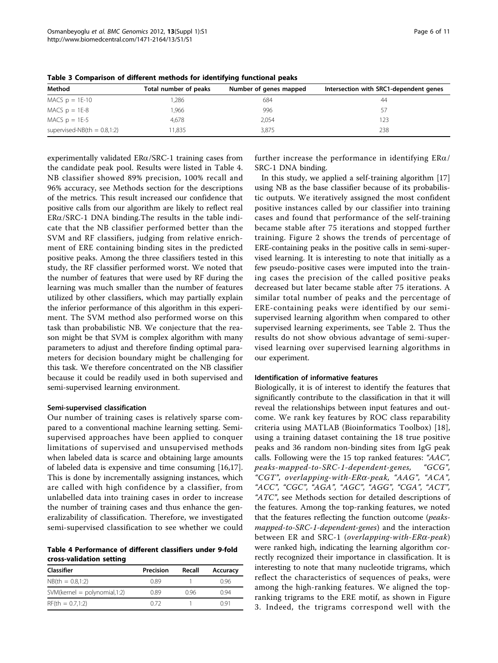| Method                          | Total number of peaks | Number of genes mapped | Intersection with SRC1-dependent genes |
|---------------------------------|-----------------------|------------------------|----------------------------------------|
| MACS $p = 1E-10$                | ,286                  | 684                    | 44                                     |
| MACS $p = 1E-8$                 | .966                  | 996                    | 57                                     |
| MACS $p = 1E-5$                 | 4.678                 | 2,054                  | 123                                    |
| supervised-NB $(th = 0.8, 1:2)$ | 11.835                | 3,875                  | 238                                    |

<span id="page-5-0"></span>Table 3 Comparison of different methods for identifying functional peaks

experimentally validated  $ER\alpha/SRC-1$  training cases from the candidate peak pool. Results were listed in Table 4. NB classifier showed 89% precision, 100% recall and 96% accuracy, see Methods section for the descriptions of the metrics. This result increased our confidence that positive calls from our algorithm are likely to reflect real  $ER\alpha/SRC-1$  DNA binding. The results in the table indicate that the NB classifier performed better than the SVM and RF classifiers, judging from relative enrichment of ERE containing binding sites in the predicted positive peaks. Among the three classifiers tested in this study, the RF classifier performed worst. We noted that the number of features that were used by RF during the learning was much smaller than the number of features utilized by other classifiers, which may partially explain the inferior performance of this algorithm in this experiment. The SVM method also performed worse on this task than probabilistic NB. We conjecture that the reason might be that SVM is complex algorithm with many parameters to adjust and therefore finding optimal parameters for decision boundary might be challenging for this task. We therefore concentrated on the NB classifier because it could be readily used in both supervised and semi-supervised learning environment.

#### Semi-supervised classification

Our number of training cases is relatively sparse compared to a conventional machine learning setting. Semisupervised approaches have been applied to conquer limitations of supervised and unsupervised methods when labeled data is scarce and obtaining large amounts of labeled data is expensive and time consuming [[16,17](#page-9-0)]. This is done by incrementally assigning instances, which are called with high confidence by a classifier, from unlabelled data into training cases in order to increase the number of training cases and thus enhance the generalizability of classification. Therefore, we investigated semi-supervised classification to see whether we could

Table 4 Performance of different classifiers under 9-fold cross-validation setting

| Classifier                      | Precision | Recall | Accuracy |
|---------------------------------|-----------|--------|----------|
| $NB(th = 0.8,1:2)$              | 0.89      |        | 0.96     |
| $SWM(kernel = polynomial, 1:2)$ | 0.89      | O 96   | O 94     |
| $RF(th = 0.7,1:2)$              | O 72      |        | N 91     |

further increase the performance in identifying  $ER\alpha/$ SRC-1 DNA binding.

In this study, we applied a self-training algorithm [[17](#page-9-0)] using NB as the base classifier because of its probabilistic outputs. We iteratively assigned the most confident positive instances called by our classifier into training cases and found that performance of the self-training became stable after 75 iterations and stopped further training. Figure [2](#page-6-0) shows the trends of percentage of ERE-containing peaks in the positive calls in semi-supervised learning. It is interesting to note that initially as a few pseudo-positive cases were imputed into the training cases the precision of the called positive peaks decreased but later became stable after 75 iterations. A similar total number of peaks and the percentage of ERE-containing peaks were identified by our semisupervised learning algorithm when compared to other supervised learning experiments, see Table [2.](#page-4-0) Thus the results do not show obvious advantage of semi-supervised learning over supervised learning algorithms in our experiment.

#### Identification of informative features

Biologically, it is of interest to identify the features that significantly contribute to the classification in that it will reveal the relationships between input features and outcome. We rank key features by ROC class reparability criteria using MATLAB (Bioinformatics Toolbox) [[18](#page-9-0)], using a training dataset containing the 18 true positive peaks and 36 random non-binding sites from IgG peak calls. Following were the 15 top ranked features: "AAC", peaks-mapped-to-SRC-1-dependent-genes, "GCG", "CGT", overlapping-with-ERa-peak, "AAG", "ACA", "ACC", "CGC", "AGA", "AGC", "AGG", "CGA", "ACT", "ATC", see Methods section for detailed descriptions of the features. Among the top-ranking features, we noted that the features reflecting the function outcome (peaksmapped-to-SRC-1-dependent-genes) and the interaction between ER and SRC-1 (overlapping-with- $ER\alpha$ -peak) were ranked high, indicating the learning algorithm correctly recognized their importance in classification. It is interesting to note that many nucleotide trigrams, which reflect the characteristics of sequences of peaks, were among the high-ranking features. We aligned the topranking trigrams to the ERE motif, as shown in Figure [3](#page-6-0). Indeed, the trigrams correspond well with the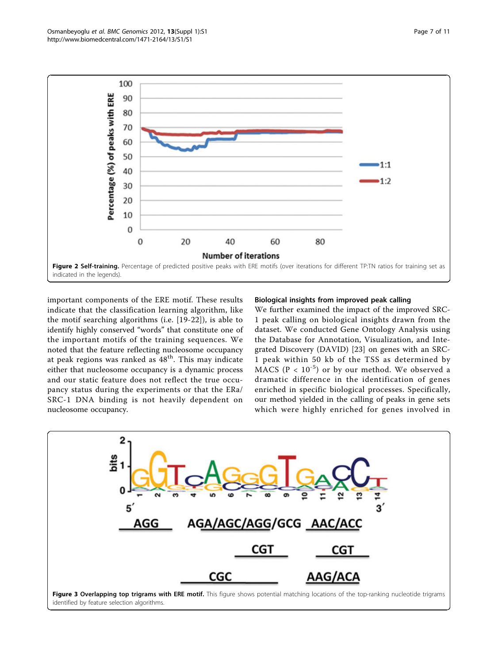<span id="page-6-0"></span>

important components of the ERE motif. These results indicate that the classification learning algorithm, like the motif searching algorithms (i.e. [[19-22\]](#page-9-0)), is able to identify highly conserved "words" that constitute one of the important motifs of the training sequences. We noted that the feature reflecting nucleosome occupancy at peak regions was ranked as  $48<sup>th</sup>$ . This may indicate either that nucleosome occupancy is a dynamic process and our static feature does not reflect the true occupancy status during the experiments or that the ERa/ SRC-1 DNA binding is not heavily dependent on nucleosome occupancy.

#### Biological insights from improved peak calling

We further examined the impact of the improved SRC-1 peak calling on biological insights drawn from the dataset. We conducted Gene Ontology Analysis using the Database for Annotation, Visualization, and Integrated Discovery (DAVID) [[23\]](#page-9-0) on genes with an SRC-1 peak within 50 kb of the TSS as determined by MACS ( $P < 10^{-5}$ ) or by our method. We observed a dramatic difference in the identification of genes enriched in specific biological processes. Specifically, our method yielded in the calling of peaks in gene sets which were highly enriched for genes involved in

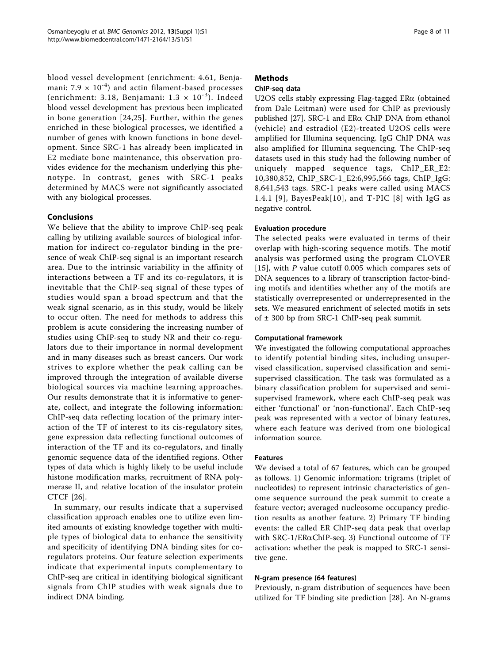blood vessel development (enrichment: 4.61, Benjamani:  $7.9 \times 10^{-4}$ ) and actin filament-based processes (enrichment: 3.18, Benjamani:  $1.3 \times 10^{-3}$ ). Indeed blood vessel development has previous been implicated in bone generation [[24](#page-9-0),[25](#page-10-0)]. Further, within the genes enriched in these biological processes, we identified a number of genes with known functions in bone development. Since SRC-1 has already been implicated in E2 mediate bone maintenance, this observation provides evidence for the mechanism underlying this phenotype. In contrast, genes with SRC-1 peaks determined by MACS were not significantly associated with any biological processes.

### Conclusions

We believe that the ability to improve ChIP-seq peak calling by utilizing available sources of biological information for indirect co-regulator binding in the presence of weak ChIP-seq signal is an important research area. Due to the intrinsic variability in the affinity of interactions between a TF and its co-regulators, it is inevitable that the ChIP-seq signal of these types of studies would span a broad spectrum and that the weak signal scenario, as in this study, would be likely to occur often. The need for methods to address this problem is acute considering the increasing number of studies using ChIP-seq to study NR and their co-regulators due to their importance in normal development and in many diseases such as breast cancers. Our work strives to explore whether the peak calling can be improved through the integration of available diverse biological sources via machine learning approaches. Our results demonstrate that it is informative to generate, collect, and integrate the following information: ChIP-seq data reflecting location of the primary interaction of the TF of interest to its cis-regulatory sites, gene expression data reflecting functional outcomes of interaction of the TF and its co-regulators, and finally genomic sequence data of the identified regions. Other types of data which is highly likely to be useful include histone modification marks, recruitment of RNA polymerase II, and relative location of the insulator protein CTCF [[26\]](#page-10-0).

In summary, our results indicate that a supervised classification approach enables one to utilize even limited amounts of existing knowledge together with multiple types of biological data to enhance the sensitivity and specificity of identifying DNA binding sites for coregulators proteins. Our feature selection experiments indicate that experimental inputs complementary to ChIP-seq are critical in identifying biological significant signals from ChIP studies with weak signals due to indirect DNA binding.

## Methods

## ChIP-seq data

U2OS cells stably expressing Flag-tagged ERa (obtained from Dale Leitman) were used for ChIP as previously published  $[27]$  $[27]$ . SRC-1 and ER $\alpha$  ChIP DNA from ethanol (vehicle) and estradiol (E2)-treated U2OS cells were amplified for Illumina sequencing. IgG ChIP DNA was also amplified for Illumina sequencing. The ChIP-seq datasets used in this study had the following number of uniquely mapped sequence tags, ChIP\_ER\_E2: 10,380,852, ChIP\_SRC-1\_E2:6,995,566 tags, ChIP\_IgG: 8,641,543 tags. SRC-1 peaks were called using MACS 1.4.1 [[9\]](#page-9-0), BayesPeak[10], and  $T-PIC$  [[8](#page-9-0)] with IgG as negative control.

## Evaluation procedure

The selected peaks were evaluated in terms of their overlap with high-scoring sequence motifs. The motif analysis was performed using the program CLOVER [[15](#page-9-0)], with P value cutoff 0.005 which compares sets of DNA sequences to a library of transcription factor-binding motifs and identifies whether any of the motifs are statistically overrepresented or underrepresented in the sets. We measured enrichment of selected motifs in sets of  $\pm$  300 bp from SRC-1 ChIP-seq peak summit.

### Computational framework

We investigated the following computational approaches to identify potential binding sites, including unsupervised classification, supervised classification and semisupervised classification. The task was formulated as a binary classification problem for supervised and semisupervised framework, where each ChIP-seq peak was either 'functional' or 'non-functional'. Each ChIP-seq peak was represented with a vector of binary features, where each feature was derived from one biological information source.

### Features

We devised a total of 67 features, which can be grouped as follows. 1) Genomic information: trigrams (triplet of nucleotides) to represent intrinsic characteristics of genome sequence surround the peak summit to create a feature vector; averaged nucleosome occupancy prediction results as another feature. 2) Primary TF binding events: the called ER ChIP-seq data peak that overlap with  $SRC-1/ER\alpha ChIP-seq.$  3) Functional outcome of TF activation: whether the peak is mapped to SRC-1 sensitive gene.

## N-gram presence (64 features)

Previously, n-gram distribution of sequences have been utilized for TF binding site prediction [\[28](#page-10-0)]. An N-grams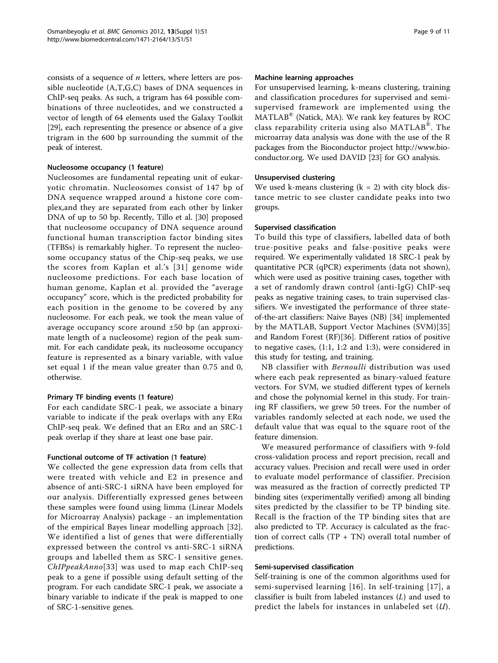consists of a sequence of  $n$  letters, where letters are possible nucleotide (A,T,G,C) bases of DNA sequences in ChIP-seq peaks. As such, a trigram has 64 possible combinations of three nucleotides, and we constructed a vector of length of 64 elements used the Galaxy Toolkit [[29\]](#page-10-0), each representing the presence or absence of a give trigram in the 600 bp surrounding the summit of the peak of interest.

#### Nucleosome occupancy (1 feature)

Nucleosomes are fundamental repeating unit of eukaryotic chromatin. Nucleosomes consist of 147 bp of DNA sequence wrapped around a histone core complex,and they are separated from each other by linker DNA of up to 50 bp. Recently, Tillo et al. [[30](#page-10-0)] proposed that nucleosome occupancy of DNA sequence around functional human transcription factor binding sites (TFBSs) is remarkably higher. To represent the nucleosome occupancy status of the Chip-seq peaks, we use the scores from Kaplan et al.'s [[31\]](#page-10-0) genome wide nucleosome predictions. For each base location of human genome, Kaplan et al. provided the "average occupancy" score, which is the predicted probability for each position in the genome to be covered by any nucleosome. For each peak, we took the mean value of average occupancy score around ±50 bp (an approximate length of a nucleosome) region of the peak summit. For each candidate peak, its nucleosome occupancy feature is represented as a binary variable, with value set equal 1 if the mean value greater than 0.75 and 0, otherwise.

### Primary TF binding events (1 feature)

For each candidate SRC-1 peak, we associate a binary variable to indicate if the peak overlaps with any  $ER\alpha$ ChIP-seq peak. We defined that an  $ER\alpha$  and an  $SRC-1$ peak overlap if they share at least one base pair.

#### Functional outcome of TF activation (1 feature)

We collected the gene expression data from cells that were treated with vehicle and E2 in presence and absence of anti-SRC-1 siRNA have been employed for our analysis. Differentially expressed genes between these samples were found using limma (Linear Models for Microarray Analysis) package - an implementation of the empirical Bayes linear modelling approach [[32\]](#page-10-0). We identified a list of genes that were differentially expressed between the control vs anti-SRC-1 siRNA groups and labelled them as SRC-1 sensitive genes. ChIPpeakAnno[33] was used to map each ChIP-seq peak to a gene if possible using default setting of the program. For each candidate SRC-1 peak, we associate a binary variable to indicate if the peak is mapped to one of SRC-1-sensitive genes.

#### Machine learning approaches

For unsupervised learning, k-means clustering, training and classification procedures for supervised and semisupervised framework are implemented using the  $MATLAB^{\circledast}$  (Natick, MA). We rank key features by ROC class reparability criteria using also MATLAB®. The microarray data analysis was done with the use of the R packages from the Bioconductor project [http://www.bio](http://www.bioconductor.org)[conductor.org.](http://www.bioconductor.org) We used DAVID [\[23\]](#page-9-0) for GO analysis.

#### Unsupervised clustering

We used k-means clustering  $(k = 2)$  with city block distance metric to see cluster candidate peaks into two groups.

#### Supervised classification

To build this type of classifiers, labelled data of both true-positive peaks and false-positive peaks were required. We experimentally validated 18 SRC-1 peak by quantitative PCR (qPCR) experiments (data not shown), which were used as positive training cases, together with a set of randomly drawn control (anti-IgG) ChIP-seq peaks as negative training cases, to train supervised classifiers. We investigated the performance of three stateof-the-art classifiers: Naive Bayes (NB) [\[34\]](#page-10-0) implemented by the MATLAB, Support Vector Machines (SVM)[35] and Random Forest (RF)[36]. Different ratios of positive to negative cases, (1:1, 1:2 and 1:3), were considered in this study for testing, and training.

NB classifier with Bernoulli distribution was used where each peak represented as binary-valued feature vectors. For SVM, we studied different types of kernels and chose the polynomial kernel in this study. For training RF classifiers, we grew 50 trees. For the number of variables randomly selected at each node, we used the default value that was equal to the square root of the feature dimension.

We measured performance of classifiers with 9-fold cross-validation process and report precision, recall and accuracy values. Precision and recall were used in order to evaluate model performance of classifier. Precision was measured as the fraction of correctly predicted TP binding sites (experimentally verified) among all binding sites predicted by the classifier to be TP binding site. Recall is the fraction of the TP binding sites that are also predicted to TP. Accuracy is calculated as the fraction of correct calls  $(TP + TN)$  overall total number of predictions.

### Semi-supervised classification

Self-training is one of the common algorithms used for semi-supervised learning [[16](#page-9-0)]. In self-training [[17\]](#page-9-0), a classifier is built from labeled instances (L) and used to predict the labels for instances in unlabeled set  $(U)$ .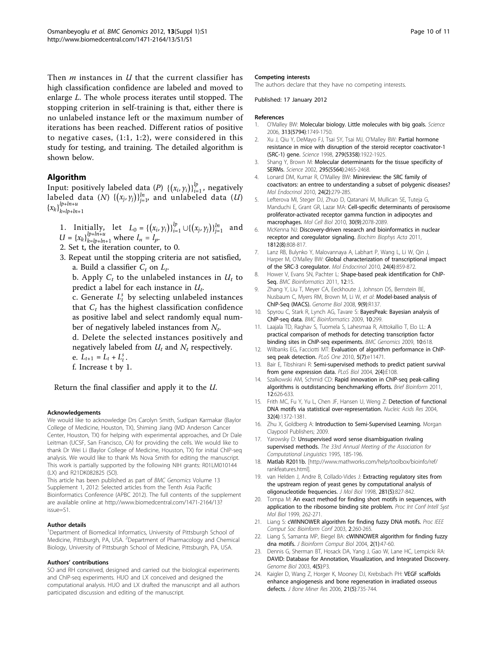<span id="page-9-0"></span>Then  $m$  instances in  $U$  that the current classifier has high classification confidence are labeled and moved to enlarge L. The whole process iterates until stopped. The stopping criterion in self-training is that, either there is no unlabeled instance left or the maximum number of iterations has been reached. Different ratios of positive to negative cases, (1:1, 1:2), were considered in this study for testing, and training. The detailed algorithm is shown below.

### Algorithm

Input: positively labeled data (*P*)  $\{(x_i, y_i)\}_{i=1}^l$ , negatively labeled data (*N*)  $\{(x_j, y_j)\}_{j=1}^{ln}$  and unlabeled data (*U*)  ${x_k}$ <sub> $_{k=1}^{lp+ln+u}$ </sub> *k*=*lp*+*ln*+1

- 1. Initially, let  $L_0 = \{(x_i, y_i)\}_{i=1}^p \cup \{(x_j, y_j)\}_{j=1}^n$  and  $U = {x_k}_{k=1}^{l_{p+1}}_{p+1}^{l_{p+1}}$  where  $l_n = l_p$ .
- 2. Set t, the iteration counter, to 0.
- 3. Repeat until the stopping criteria are not satisfied, a. Build a classifier  $C_t$  on  $L_t$ .

b. Apply  $C_t$  to the unlabeled instances in  $U_t$  to predict a label for each instance in  $U_t$ .

c. Generate  $L_t^s$  by selecting unlabeled instances that  $C_t$  has the highest classification confidence as positive label and select randomly equal number of negatively labeled instances from  $N_t$ .

d. Delete the selected instances positively and negatively labeled from  $U_t$  and  $N_t$  respectively.

- e.  $L_{t+1} = L_t + L_t^s$ .
- f. Increase t by 1.

Return the final classifier and apply it to the U.

#### Acknowledgements

We would like to acknowledge Drs Carolyn Smith, Sudipan Karmakar (Baylor College of Medicine, Houston, TX), Shiming Jiang (MD Anderson Cancer Center, Houston, TX) for helping with experimental approaches, and Dr Dale Leitman (UCSF, San Francisco, CA) for providing the cells. We would like to thank Dr Wei Li (Baylor College of Medicine, Houston, TX) for initial ChIP-seq analysis. We would like to thank Ms Nova Smith for editing the manuscript. This work is partially supported by the following NIH grants: R01LM010144 (LX) and R21DK082825 (SO).

This article has been published as part of BMC Genomics Volume 13 Supplement 1, 2012: Selected articles from the Tenth Asia Pacific Bioinformatics Conference (APBC 2012). The full contents of the supplement are available online at [http://www.biomedcentral.com/1471-2164/13?](http://www.biomedcentral.com/1471-2164/13?issue=S1) [issue=S1.](http://www.biomedcentral.com/1471-2164/13?issue=S1)

#### Author details

<sup>1</sup>Department of Biomedical Informatics, University of Pittsburgh School of Medicine, Pittsburgh, PA, USA. <sup>2</sup>Department of Pharmacology and Chemical Biology, University of Pittsburgh School of Medicine, Pittsburgh, PA, USA.

#### Authors' contributions

SO and RH conceived, designed and carried out the biological experiments and ChIP-seq experiments. HUO and LX conceived and designed the computational analysis. HUO and LX drafted the manuscript and all authors participated discussion and editing of the manuscript.

#### Competing interests

The authors declare that they have no competing interests.

Published: 17 January 2012

#### **References**

- 1. O'Malley BW: [Molecular biology. Little molecules with big goals.](http://www.ncbi.nlm.nih.gov/pubmed/16990541?dopt=Abstract) Science 2006, 313(5794):1749-1750.
- 2. Xu J, Qiu Y, DeMayo FJ, Tsai SY, Tsai MJ, O'Malley BW: [Partial hormone](http://www.ncbi.nlm.nih.gov/pubmed/9506940?dopt=Abstract) [resistance in mice with disruption of the steroid receptor coactivator-1](http://www.ncbi.nlm.nih.gov/pubmed/9506940?dopt=Abstract) [\(SRC-1\) gene.](http://www.ncbi.nlm.nih.gov/pubmed/9506940?dopt=Abstract) Science 1998, 279(5358):1922-1925.
- 3. Shang Y, Brown M: [Molecular determinants for the tissue specificity of](http://www.ncbi.nlm.nih.gov/pubmed/11923541?dopt=Abstract) [SERMs.](http://www.ncbi.nlm.nih.gov/pubmed/11923541?dopt=Abstract) Science 2002, 295(5564):2465-2468.
- 4. Lonard DM, Kumar R, O'Malley BW: [Minireview: the SRC family of](http://www.ncbi.nlm.nih.gov/pubmed/19846539?dopt=Abstract) [coactivators: an entree to understanding a subset of polygenic diseases?](http://www.ncbi.nlm.nih.gov/pubmed/19846539?dopt=Abstract) Mol Endocrinol 2010, 24(2):279-285.
- 5. Lefterova MI, Steger DJ, Zhuo D, Qatanani M, Mullican SE, Tuteja G, Manduchi E, Grant GR, Lazar MA: [Cell-specific determinants of peroxisome](http://www.ncbi.nlm.nih.gov/pubmed/20176806?dopt=Abstract) [proliferator-activated receptor gamma function in adipocytes and](http://www.ncbi.nlm.nih.gov/pubmed/20176806?dopt=Abstract) [macrophages.](http://www.ncbi.nlm.nih.gov/pubmed/20176806?dopt=Abstract) Mol Cell Biol 2010, 30(9):2078-2089.
- 6. McKenna NJ: [Discovery-driven research and bioinformatics in nuclear](http://www.ncbi.nlm.nih.gov/pubmed/21029773?dopt=Abstract) [receptor and coregulator signaling.](http://www.ncbi.nlm.nih.gov/pubmed/21029773?dopt=Abstract) Biochim Biophys Acta 2011, 1812(8):808-817.
- 7. Lanz RB, Bulynko Y, Malovannaya A, Labhart P, Wang L, Li W, Qin J, Harper M, O'Malley BW: [Global characterization of transcriptional impact](http://www.ncbi.nlm.nih.gov/pubmed/20181721?dopt=Abstract) [of the SRC-3 coregulator.](http://www.ncbi.nlm.nih.gov/pubmed/20181721?dopt=Abstract) Mol Endocrinol 2010, 24(4):859-872.
- 8. Hower V, Evans SN, Pachter L: [Shape-based peak identification for ChIP-](http://www.ncbi.nlm.nih.gov/pubmed/21226895?dopt=Abstract)[Seq.](http://www.ncbi.nlm.nih.gov/pubmed/21226895?dopt=Abstract) BMC Bioinformatics 2011, 12:15.
- 9. Zhang Y, Liu T, Meyer CA, Eeckhoute J, Johnson DS, Bernstein BE, Nusbaum C, Myers RM, Brown M, Li W, et al: [Model-based analysis of](http://www.ncbi.nlm.nih.gov/pubmed/18798982?dopt=Abstract) [ChIP-Seq \(MACS\).](http://www.ncbi.nlm.nih.gov/pubmed/18798982?dopt=Abstract) Genome Biol 2008, 9(9):R137.
- 10. Spyrou C, Stark R, Lynch AG, Tavare S: [BayesPeak: Bayesian analysis of](http://www.ncbi.nlm.nih.gov/pubmed/19772557?dopt=Abstract) [ChIP-seq data.](http://www.ncbi.nlm.nih.gov/pubmed/19772557?dopt=Abstract) BMC Bioinformatics 2009, 10:299.
- 11. Laajala TD, Raghav S, Tuomela S, Lahesmaa R, Aittokallio T, Elo LL: [A](http://www.ncbi.nlm.nih.gov/pubmed/20017957?dopt=Abstract) [practical comparison of methods for detecting transcription factor](http://www.ncbi.nlm.nih.gov/pubmed/20017957?dopt=Abstract) [binding sites in ChIP-seq experiments.](http://www.ncbi.nlm.nih.gov/pubmed/20017957?dopt=Abstract) BMC Genomics 2009, 10:618.
- 12. Wilbanks EG, Facciotti MT: [Evaluation of algorithm performance in ChIP](http://www.ncbi.nlm.nih.gov/pubmed/20628599?dopt=Abstract)[seq peak detection.](http://www.ncbi.nlm.nih.gov/pubmed/20628599?dopt=Abstract) PLoS One 2010, 5(7):e11471.
- 13. Bair E, Tibshirani R: [Semi-supervised methods to predict patient survival](http://www.ncbi.nlm.nih.gov/pubmed/15094809?dopt=Abstract) [from gene expression data.](http://www.ncbi.nlm.nih.gov/pubmed/15094809?dopt=Abstract) PLoS Biol 2004, 2(4): $F108$ .
- 14. Szalkowski AM, Schmid CD: [Rapid innovation in ChIP-seq peak-calling](http://www.ncbi.nlm.nih.gov/pubmed/21059603?dopt=Abstract) [algorithms is outdistancing benchmarking efforts.](http://www.ncbi.nlm.nih.gov/pubmed/21059603?dopt=Abstract) Brief Bioinform 2011, 12:626-633.
- 15. Frith MC, Fu Y, Yu L, Chen JF, Hansen U, Weng Z: [Detection of functional](http://www.ncbi.nlm.nih.gov/pubmed/14988425?dopt=Abstract) [DNA motifs via statistical over-representation.](http://www.ncbi.nlm.nih.gov/pubmed/14988425?dopt=Abstract) Nucleic Acids Res 2004, 32(4):1372-1381.
- 16. Zhu X, Goldberg A: Introduction to Semi-Supervised Learning. Morgan Claypool Publishers; 2009.
- 17. Yarowsky D: Unsupervised word sense disambiguation rivaling supervised methods. The 33rd Annual Meeting of the Association for Computational Linguistics 1995, 185-196.
- 18. Matlab R2011b. [\[http://www.mathworks.com/help/toolbox/bioinfo/ref/](http://www.mathworks.com/help/toolbox/bioinfo/ref/rankfeatures.html) [rankfeatures.html](http://www.mathworks.com/help/toolbox/bioinfo/ref/rankfeatures.html)].
- 19. van Helden J, Andre B, Collado-Vides J: [Extracting regulatory sites from](http://www.ncbi.nlm.nih.gov/pubmed/9719638?dopt=Abstract) [the upstream region of yeast genes by computational analysis of](http://www.ncbi.nlm.nih.gov/pubmed/9719638?dopt=Abstract) [oligonucleotide frequencies.](http://www.ncbi.nlm.nih.gov/pubmed/9719638?dopt=Abstract) J Mol Biol 1998, 281(5):827-842.
- 20. Tompa M: [An exact method for finding short motifs in sequences, with](http://www.ncbi.nlm.nih.gov/pubmed/10786309?dopt=Abstract) [application to the ribosome binding site problem.](http://www.ncbi.nlm.nih.gov/pubmed/10786309?dopt=Abstract) Proc Int Conf Intell Syst Mol Biol 1999, 262-271.
- 21. Liang S: [cWINNOWER algorithm for finding fuzzy DNA motifs.](http://www.ncbi.nlm.nih.gov/pubmed/16452801?dopt=Abstract) Proc IEEE Comput Soc Bioinform Conf 2003, 2:260-265.
- 22. Liang S, Samanta MP, Biegel BA: [cWINNOWER algorithm for finding fuzzy](http://www.ncbi.nlm.nih.gov/pubmed/15272432?dopt=Abstract) [dna motifs.](http://www.ncbi.nlm.nih.gov/pubmed/15272432?dopt=Abstract) J Bioinform Comput Biol 2004, 2(1):47-60.
- 23. Dennis G, Sherman BT, Hosack DA, Yang J, Gao W, Lane HC, Lempicki RA: [DAVID: Database for Annotation, Visualization, and Integrated Discovery.](http://www.ncbi.nlm.nih.gov/pubmed/12734009?dopt=Abstract) Genome Biol 2003, 4(5):P3.
- 24. Kaigler D, Wang Z, Horger K, Mooney DJ, Krebsbach PH: [VEGF scaffolds](http://www.ncbi.nlm.nih.gov/pubmed/16734388?dopt=Abstract) [enhance angiogenesis and bone regeneration in irradiated osseous](http://www.ncbi.nlm.nih.gov/pubmed/16734388?dopt=Abstract) [defects.](http://www.ncbi.nlm.nih.gov/pubmed/16734388?dopt=Abstract) J Bone Miner Res 2006, 21(5):735-744.